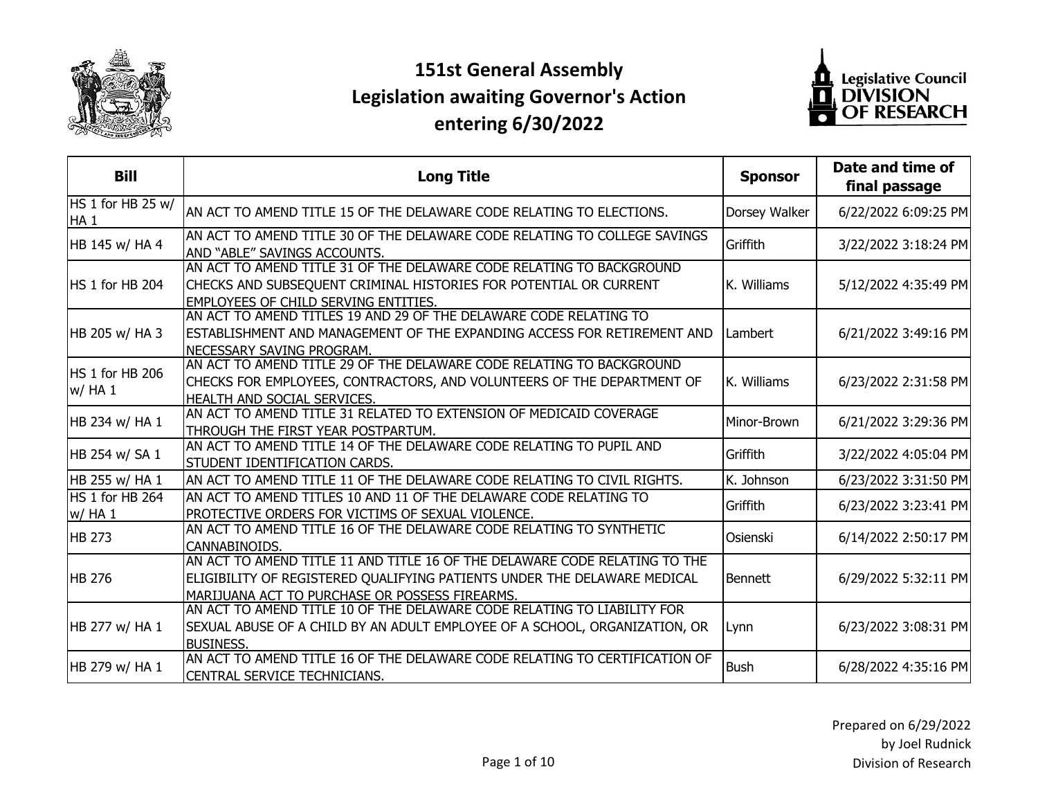

## **151st General Assembly Legislation awaiting Governor's Action entering 6/30/2022**



| <b>Bill</b>                          | <b>Long Title</b>                                                                                                                                                                                        | <b>Sponsor</b> | Date and time of<br>final passage |
|--------------------------------------|----------------------------------------------------------------------------------------------------------------------------------------------------------------------------------------------------------|----------------|-----------------------------------|
| HS 1 for HB 25 w/<br>HA <sub>1</sub> | AN ACT TO AMEND TITLE 15 OF THE DELAWARE CODE RELATING TO ELECTIONS.                                                                                                                                     | Dorsey Walker  | 6/22/2022 6:09:25 PM              |
| HB 145 w/ HA 4                       | AN ACT TO AMEND TITLE 30 OF THE DELAWARE CODE RELATING TO COLLEGE SAVINGS<br>AND "ABLE" SAVINGS ACCOUNTS.                                                                                                | Griffith       | 3/22/2022 3:18:24 PM              |
| HS 1 for HB 204                      | AN ACT TO AMEND TITLE 31 OF THE DELAWARE CODE RELATING TO BACKGROUND<br>CHECKS AND SUBSEQUENT CRIMINAL HISTORIES FOR POTENTIAL OR CURRENT<br><b>EMPLOYEES OF CHILD SERVING ENTITIES.</b>                 | K. Williams    | 5/12/2022 4:35:49 PM              |
| HB 205 w/ HA 3                       | AN ACT TO AMEND TITLES 19 AND 29 OF THE DELAWARE CODE RELATING TO<br>ESTABLISHMENT AND MANAGEMENT OF THE EXPANDING ACCESS FOR RETIREMENT AND<br>NECESSARY SAVING PROGRAM.                                | Lambert        | 6/21/2022 3:49:16 PM              |
| HS 1 for HB 206<br>w/HA1             | AN ACT TO AMEND TITLE 29 OF THE DELAWARE CODE RELATING TO BACKGROUND<br>CHECKS FOR EMPLOYEES, CONTRACTORS, AND VOLUNTEERS OF THE DEPARTMENT OF<br>HEALTH AND SOCIAL SERVICES.                            | K. Williams    | 6/23/2022 2:31:58 PM              |
| HB 234 w/ HA 1                       | AN ACT TO AMEND TITLE 31 RELATED TO EXTENSION OF MEDICAID COVERAGE<br>THROUGH THE FIRST YEAR POSTPARTUM.                                                                                                 | Minor-Brown    | 6/21/2022 3:29:36 PM              |
| HB 254 w/ SA 1                       | AN ACT TO AMEND TITLE 14 OF THE DELAWARE CODE RELATING TO PUPIL AND<br>STUDENT IDENTIFICATION CARDS.                                                                                                     | Griffith       | 3/22/2022 4:05:04 PM              |
| HB 255 w/ HA 1                       | AN ACT TO AMEND TITLE 11 OF THE DELAWARE CODE RELATING TO CIVIL RIGHTS.                                                                                                                                  | K. Johnson     | 6/23/2022 3:31:50 PM              |
| HS 1 for HB 264<br>w/ HA 1           | AN ACT TO AMEND TITLES 10 AND 11 OF THE DELAWARE CODE RELATING TO<br>PROTECTIVE ORDERS FOR VICTIMS OF SEXUAL VIOLENCE.                                                                                   | Griffith       | 6/23/2022 3:23:41 PM              |
| <b>HB 273</b>                        | AN ACT TO AMEND TITLE 16 OF THE DELAWARE CODE RELATING TO SYNTHETIC<br>CANNABINOIDS.                                                                                                                     | Osienski       | 6/14/2022 2:50:17 PM              |
| <b>HB 276</b>                        | AN ACT TO AMEND TITLE 11 AND TITLE 16 OF THE DELAWARE CODE RELATING TO THE<br>ELIGIBILITY OF REGISTERED QUALIFYING PATIENTS UNDER THE DELAWARE MEDICAL<br>MARIJUANA ACT TO PURCHASE OR POSSESS FIREARMS. | Bennett        | 6/29/2022 5:32:11 PM              |
| HB 277 w/ HA 1                       | AN ACT TO AMEND TITLE 10 OF THE DELAWARE CODE RELATING TO LIABILITY FOR<br>SEXUAL ABUSE OF A CHILD BY AN ADULT EMPLOYEE OF A SCHOOL, ORGANIZATION, OR<br><b>BUSINESS.</b>                                | Lynn           | 6/23/2022 3:08:31 PM              |
| HB 279 w/ HA 1                       | AN ACT TO AMEND TITLE 16 OF THE DELAWARE CODE RELATING TO CERTIFICATION OF<br>CENTRAL SERVICE TECHNICIANS.                                                                                               | <b>Bush</b>    | 6/28/2022 4:35:16 PM              |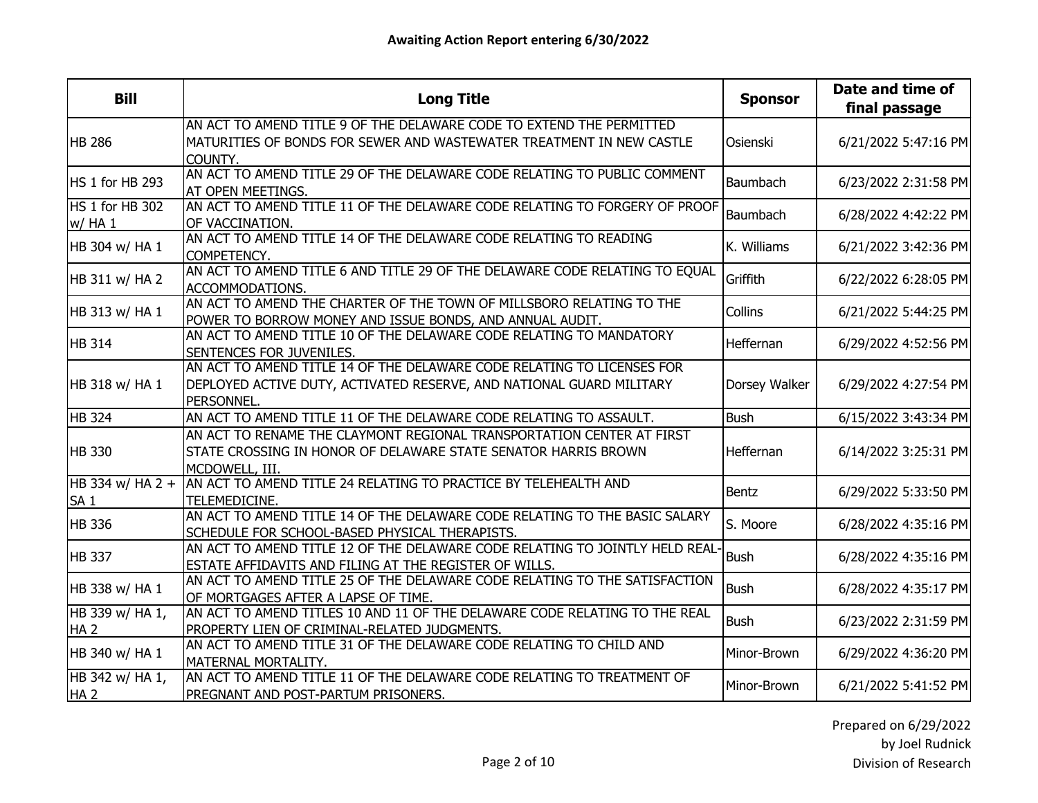| <b>Bill</b>                         | <b>Long Title</b>                                                                                                                                           | <b>Sponsor</b>  | Date and time of<br>final passage |
|-------------------------------------|-------------------------------------------------------------------------------------------------------------------------------------------------------------|-----------------|-----------------------------------|
| <b>HB 286</b>                       | AN ACT TO AMEND TITLE 9 OF THE DELAWARE CODE TO EXTEND THE PERMITTED<br>MATURITIES OF BONDS FOR SEWER AND WASTEWATER TREATMENT IN NEW CASTLE<br>COUNTY.     | Osienski        | 6/21/2022 5:47:16 PM              |
| HS 1 for HB 293                     | AN ACT TO AMEND TITLE 29 OF THE DELAWARE CODE RELATING TO PUBLIC COMMENT<br>AT OPEN MEETINGS.                                                               | Baumbach        | 6/23/2022 2:31:58 PM              |
| HS 1 for HB 302<br>w/ HA 1          | AN ACT TO AMEND TITLE 11 OF THE DELAWARE CODE RELATING TO FORGERY OF PROOF<br>OF VACCINATION.                                                               | <b>Baumbach</b> | 6/28/2022 4:42:22 PM              |
| HB 304 w/ HA 1                      | AN ACT TO AMEND TITLE 14 OF THE DELAWARE CODE RELATING TO READING<br>COMPETENCY.                                                                            | K. Williams     | 6/21/2022 3:42:36 PM              |
| HB 311 w/ HA 2                      | AN ACT TO AMEND TITLE 6 AND TITLE 29 OF THE DELAWARE CODE RELATING TO EQUAL<br>ACCOMMODATIONS.                                                              | Griffith        | 6/22/2022 6:28:05 PM              |
| HB 313 w/ HA 1                      | AN ACT TO AMEND THE CHARTER OF THE TOWN OF MILLSBORO RELATING TO THE<br>POWER TO BORROW MONEY AND ISSUE BONDS, AND ANNUAL AUDIT.                            | Collins         | 6/21/2022 5:44:25 PM              |
| <b>HB 314</b>                       | AN ACT TO AMEND TITLE 10 OF THE DELAWARE CODE RELATING TO MANDATORY<br>SENTENCES FOR JUVENILES.                                                             | Heffernan       | 6/29/2022 4:52:56 PM              |
| HB 318 w/ HA 1                      | AN ACT TO AMEND TITLE 14 OF THE DELAWARE CODE RELATING TO LICENSES FOR<br>DEPLOYED ACTIVE DUTY, ACTIVATED RESERVE, AND NATIONAL GUARD MILITARY<br>PERSONNEL | Dorsey Walker   | 6/29/2022 4:27:54 PM              |
| <b>HB 324</b>                       | AN ACT TO AMEND TITLE 11 OF THE DELAWARE CODE RELATING TO ASSAULT.                                                                                          | <b>Bush</b>     | 6/15/2022 3:43:34 PM              |
| <b>HB 330</b>                       | AN ACT TO RENAME THE CLAYMONT REGIONAL TRANSPORTATION CENTER AT FIRST<br>STATE CROSSING IN HONOR OF DELAWARE STATE SENATOR HARRIS BROWN<br>MCDOWELL, III.   | Heffernan       | 6/14/2022 3:25:31 PM              |
| HB 334 w/ HA 2 +<br>SA <sub>1</sub> | AN ACT TO AMEND TITLE 24 RELATING TO PRACTICE BY TELEHEALTH AND<br>TELEMEDICINE.                                                                            | Bentz           | 6/29/2022 5:33:50 PM              |
| <b>HB 336</b>                       | AN ACT TO AMEND TITLE 14 OF THE DELAWARE CODE RELATING TO THE BASIC SALARY<br>SCHEDULE FOR SCHOOL-BASED PHYSICAL THERAPISTS.                                | S. Moore        | 6/28/2022 4:35:16 PM              |
| <b>HB 337</b>                       | AN ACT TO AMEND TITLE 12 OF THE DELAWARE CODE RELATING TO JOINTLY HELD REAL-<br>ESTATE AFFIDAVITS AND FILING AT THE REGISTER OF WILLS.                      | <b>Bush</b>     | 6/28/2022 4:35:16 PM              |
| HB 338 w/ HA 1                      | AN ACT TO AMEND TITLE 25 OF THE DELAWARE CODE RELATING TO THE SATISFACTION<br>OF MORTGAGES AFTER A LAPSE OF TIME.                                           | <b>Bush</b>     | 6/28/2022 4:35:17 PM              |
| HB 339 w/ HA 1,<br>HA <sub>2</sub>  | AN ACT TO AMEND TITLES 10 AND 11 OF THE DELAWARE CODE RELATING TO THE REAL<br>PROPERTY LIEN OF CRIMINAL-RELATED JUDGMENTS.                                  | <b>Bush</b>     | 6/23/2022 2:31:59 PM              |
| HB 340 w/ HA 1                      | AN ACT TO AMEND TITLE 31 OF THE DELAWARE CODE RELATING TO CHILD AND<br>MATERNAL MORTALITY.                                                                  | Minor-Brown     | 6/29/2022 4:36:20 PM              |
| HB 342 w/ HA 1,<br>HA <sub>2</sub>  | AN ACT TO AMEND TITLE 11 OF THE DELAWARE CODE RELATING TO TREATMENT OF<br>PREGNANT AND POST-PARTUM PRISONERS.                                               | Minor-Brown     | 6/21/2022 5:41:52 PM              |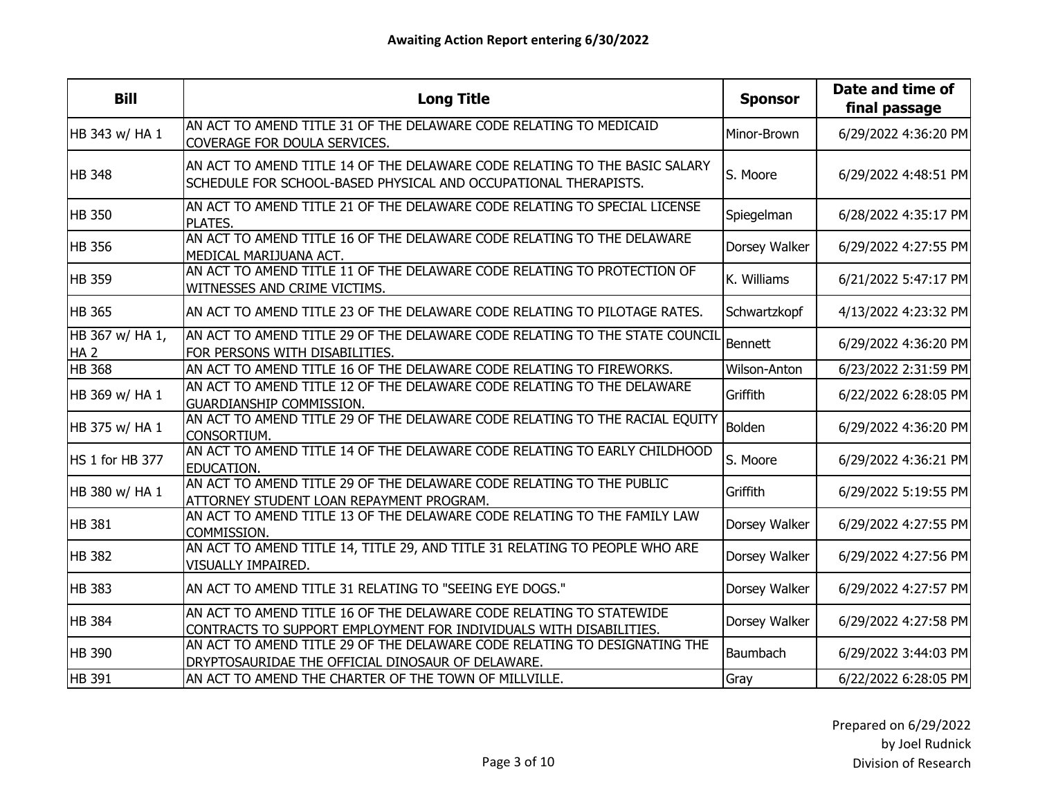| <b>Bill</b>                        | <b>Long Title</b>                                                                                                                             | <b>Sponsor</b> | Date and time of<br>final passage |
|------------------------------------|-----------------------------------------------------------------------------------------------------------------------------------------------|----------------|-----------------------------------|
| HB 343 w/ HA 1                     | AN ACT TO AMEND TITLE 31 OF THE DELAWARE CODE RELATING TO MEDICAID<br>COVERAGE FOR DOULA SERVICES.                                            | Minor-Brown    | 6/29/2022 4:36:20 PM              |
| <b>HB 348</b>                      | AN ACT TO AMEND TITLE 14 OF THE DELAWARE CODE RELATING TO THE BASIC SALARY<br>SCHEDULE FOR SCHOOL-BASED PHYSICAL AND OCCUPATIONAL THERAPISTS. | S. Moore       | 6/29/2022 4:48:51 PM              |
| <b>HB 350</b>                      | AN ACT TO AMEND TITLE 21 OF THE DELAWARE CODE RELATING TO SPECIAL LICENSE<br><b>PLATES.</b>                                                   | Spiegelman     | 6/28/2022 4:35:17 PM              |
| <b>HB 356</b>                      | AN ACT TO AMEND TITLE 16 OF THE DELAWARE CODE RELATING TO THE DELAWARE<br>MEDICAL MARIJUANA ACT.                                              | Dorsey Walker  | 6/29/2022 4:27:55 PM              |
| <b>HB</b> 359                      | AN ACT TO AMEND TITLE 11 OF THE DELAWARE CODE RELATING TO PROTECTION OF<br>WITNESSES AND CRIME VICTIMS.                                       | K. Williams    | 6/21/2022 5:47:17 PM              |
| <b>HB 365</b>                      | AN ACT TO AMEND TITLE 23 OF THE DELAWARE CODE RELATING TO PILOTAGE RATES.                                                                     | Schwartzkopf   | 4/13/2022 4:23:32 PM              |
| HB 367 w/ HA 1,<br>HA <sub>2</sub> | AN ACT TO AMEND TITLE 29 OF THE DELAWARE CODE RELATING TO THE STATE COUNCIL<br>FOR PERSONS WITH DISABILITIES.                                 | Bennett        | 6/29/2022 4:36:20 PM              |
| <b>HB 368</b>                      | AN ACT TO AMEND TITLE 16 OF THE DELAWARE CODE RELATING TO FIREWORKS.                                                                          | Wilson-Anton   | 6/23/2022 2:31:59 PM              |
| HB 369 w/ HA 1                     | AN ACT TO AMEND TITLE 12 OF THE DELAWARE CODE RELATING TO THE DELAWARE<br><b>GUARDIANSHIP COMMISSION.</b>                                     | Griffith       | 6/22/2022 6:28:05 PM              |
| HB 375 w/ HA 1                     | AN ACT TO AMEND TITLE 29 OF THE DELAWARE CODE RELATING TO THE RACIAL EQUITY<br>CONSORTIUM.                                                    | Bolden         | 6/29/2022 4:36:20 PM              |
| HS 1 for HB 377                    | AN ACT TO AMEND TITLE 14 OF THE DELAWARE CODE RELATING TO EARLY CHILDHOOD<br>EDUCATION.                                                       | S. Moore       | 6/29/2022 4:36:21 PM              |
| HB 380 w/ HA 1                     | AN ACT TO AMEND TITLE 29 OF THE DELAWARE CODE RELATING TO THE PUBLIC<br>ATTORNEY STUDENT LOAN REPAYMENT PROGRAM.                              | Griffith       | 6/29/2022 5:19:55 PM              |
| <b>HB 381</b>                      | AN ACT TO AMEND TITLE 13 OF THE DELAWARE CODE RELATING TO THE FAMILY LAW<br>COMMISSION.                                                       | Dorsey Walker  | 6/29/2022 4:27:55 PM              |
| <b>HB 382</b>                      | AN ACT TO AMEND TITLE 14, TITLE 29, AND TITLE 31 RELATING TO PEOPLE WHO ARE<br>VISUALLY IMPAIRED.                                             | Dorsey Walker  | 6/29/2022 4:27:56 PM              |
| <b>HB 383</b>                      | AN ACT TO AMEND TITLE 31 RELATING TO "SEEING EYE DOGS."                                                                                       | Dorsey Walker  | 6/29/2022 4:27:57 PM              |
| <b>HB 384</b>                      | AN ACT TO AMEND TITLE 16 OF THE DELAWARE CODE RELATING TO STATEWIDE<br>CONTRACTS TO SUPPORT EMPLOYMENT FOR INDIVIDUALS WITH DISABILITIES.     | Dorsey Walker  | 6/29/2022 4:27:58 PM              |
| <b>HB 390</b>                      | AN ACT TO AMEND TITLE 29 OF THE DELAWARE CODE RELATING TO DESIGNATING THE<br>DRYPTOSAURIDAE THE OFFICIAL DINOSAUR OF DELAWARE.                | Baumbach       | 6/29/2022 3:44:03 PM              |
| <b>HB</b> 391                      | AN ACT TO AMEND THE CHARTER OF THE TOWN OF MILLVILLE.                                                                                         | Gray           | 6/22/2022 6:28:05 PM              |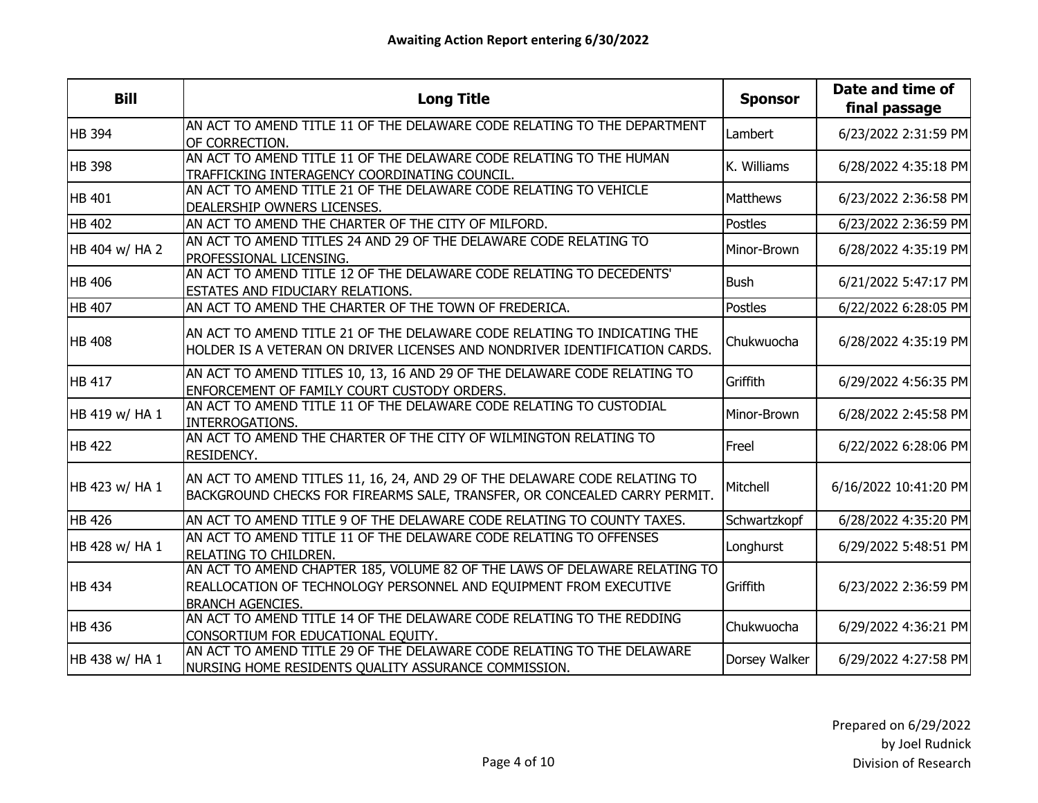| <b>Bill</b>    | <b>Long Title</b>                                                                                                                                                          | <b>Sponsor</b>  | Date and time of<br>final passage |
|----------------|----------------------------------------------------------------------------------------------------------------------------------------------------------------------------|-----------------|-----------------------------------|
| <b>HB 394</b>  | AN ACT TO AMEND TITLE 11 OF THE DELAWARE CODE RELATING TO THE DEPARTMENT<br>OF CORRECTION.                                                                                 | Lambert         | 6/23/2022 2:31:59 PM              |
| <b>HB 398</b>  | AN ACT TO AMEND TITLE 11 OF THE DELAWARE CODE RELATING TO THE HUMAN<br>TRAFFICKING INTERAGENCY COORDINATING COUNCIL.                                                       | K. Williams     | 6/28/2022 4:35:18 PM              |
| <b>HB 401</b>  | AN ACT TO AMEND TITLE 21 OF THE DELAWARE CODE RELATING TO VEHICLE<br>DEALERSHIP OWNERS LICENSES.                                                                           | <b>Matthews</b> | 6/23/2022 2:36:58 PM              |
| <b>HB 402</b>  | AN ACT TO AMEND THE CHARTER OF THE CITY OF MILFORD.                                                                                                                        | Postles         | 6/23/2022 2:36:59 PM              |
| HB 404 w/ HA 2 | AN ACT TO AMEND TITLES 24 AND 29 OF THE DELAWARE CODE RELATING TO<br>PROFESSIONAL LICENSING.                                                                               | Minor-Brown     | 6/28/2022 4:35:19 PM              |
| <b>HB 406</b>  | AN ACT TO AMEND TITLE 12 OF THE DELAWARE CODE RELATING TO DECEDENTS'<br>ESTATES AND FIDUCIARY RELATIONS.                                                                   | <b>Bush</b>     | 6/21/2022 5:47:17 PM              |
| <b>HB 407</b>  | AN ACT TO AMEND THE CHARTER OF THE TOWN OF FREDERICA.                                                                                                                      | <b>Postles</b>  | 6/22/2022 6:28:05 PM              |
| <b>HB 408</b>  | AN ACT TO AMEND TITLE 21 OF THE DELAWARE CODE RELATING TO INDICATING THE<br>HOLDER IS A VETERAN ON DRIVER LICENSES AND NONDRIVER IDENTIFICATION CARDS.                     | Chukwuocha      | 6/28/2022 4:35:19 PM              |
| <b>HB 417</b>  | AN ACT TO AMEND TITLES 10, 13, 16 AND 29 OF THE DELAWARE CODE RELATING TO<br>ENFORCEMENT OF FAMILY COURT CUSTODY ORDERS.                                                   | Griffith        | 6/29/2022 4:56:35 PM              |
| HB 419 w/ HA 1 | AN ACT TO AMEND TITLE 11 OF THE DELAWARE CODE RELATING TO CUSTODIAL<br>INTERROGATIONS.                                                                                     | Minor-Brown     | 6/28/2022 2:45:58 PM              |
| <b>HB 422</b>  | AN ACT TO AMEND THE CHARTER OF THE CITY OF WILMINGTON RELATING TO<br>RESIDENCY.                                                                                            | Freel           | 6/22/2022 6:28:06 PM              |
| HB 423 w/ HA 1 | AN ACT TO AMEND TITLES 11, 16, 24, AND 29 OF THE DELAWARE CODE RELATING TO<br>BACKGROUND CHECKS FOR FIREARMS SALE, TRANSFER, OR CONCEALED CARRY PERMIT.                    | Mitchell        | 6/16/2022 10:41:20 PM             |
| <b>HB 426</b>  | AN ACT TO AMEND TITLE 9 OF THE DELAWARE CODE RELATING TO COUNTY TAXES.                                                                                                     | Schwartzkopf    | 6/28/2022 4:35:20 PM              |
| HB 428 w/ HA 1 | AN ACT TO AMEND TITLE 11 OF THE DELAWARE CODE RELATING TO OFFENSES<br>RELATING TO CHILDREN.                                                                                | Longhurst       | 6/29/2022 5:48:51 PM              |
| <b>HB 434</b>  | AN ACT TO AMEND CHAPTER 185, VOLUME 82 OF THE LAWS OF DELAWARE RELATING TO<br>REALLOCATION OF TECHNOLOGY PERSONNEL AND EQUIPMENT FROM EXECUTIVE<br><b>BRANCH AGENCIES.</b> | Griffith        | 6/23/2022 2:36:59 PM              |
| <b>HB 436</b>  | AN ACT TO AMEND TITLE 14 OF THE DELAWARE CODE RELATING TO THE REDDING<br>CONSORTIUM FOR EDUCATIONAL EQUITY.                                                                | Chukwuocha      | 6/29/2022 4:36:21 PM              |
| HB 438 w/ HA 1 | AN ACT TO AMEND TITLE 29 OF THE DELAWARE CODE RELATING TO THE DELAWARE<br>NURSING HOME RESIDENTS QUALITY ASSURANCE COMMISSION.                                             | Dorsey Walker   | 6/29/2022 4:27:58 PM              |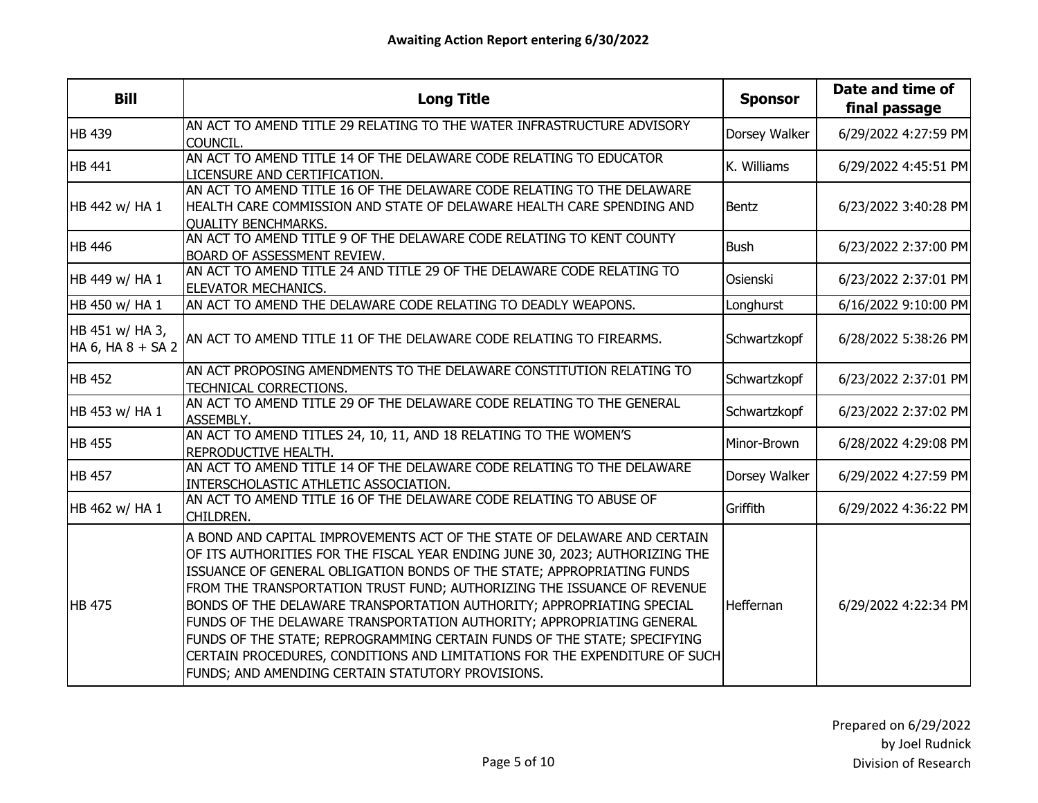| <b>Bill</b>                          | <b>Long Title</b>                                                                                                                                                                                                                                                                                                                                                                                                                                                                                                                                                                                                                                                              | <b>Sponsor</b> | Date and time of<br>final passage |
|--------------------------------------|--------------------------------------------------------------------------------------------------------------------------------------------------------------------------------------------------------------------------------------------------------------------------------------------------------------------------------------------------------------------------------------------------------------------------------------------------------------------------------------------------------------------------------------------------------------------------------------------------------------------------------------------------------------------------------|----------------|-----------------------------------|
| <b>HB 439</b>                        | AN ACT TO AMEND TITLE 29 RELATING TO THE WATER INFRASTRUCTURE ADVISORY<br>COUNCIL.                                                                                                                                                                                                                                                                                                                                                                                                                                                                                                                                                                                             | Dorsey Walker  | 6/29/2022 4:27:59 PM              |
| <b>HB</b> 441                        | AN ACT TO AMEND TITLE 14 OF THE DELAWARE CODE RELATING TO EDUCATOR<br>LICENSURE AND CERTIFICATION.                                                                                                                                                                                                                                                                                                                                                                                                                                                                                                                                                                             | K. Williams    | 6/29/2022 4:45:51 PM              |
| HB 442 w/ HA 1                       | AN ACT TO AMEND TITLE 16 OF THE DELAWARE CODE RELATING TO THE DELAWARE<br>HEALTH CARE COMMISSION AND STATE OF DELAWARE HEALTH CARE SPENDING AND<br><b>OUALITY BENCHMARKS.</b>                                                                                                                                                                                                                                                                                                                                                                                                                                                                                                  | Bentz          | 6/23/2022 3:40:28 PM              |
| <b>HB</b> 446                        | AN ACT TO AMEND TITLE 9 OF THE DELAWARE CODE RELATING TO KENT COUNTY<br><b>BOARD OF ASSESSMENT REVIEW.</b>                                                                                                                                                                                                                                                                                                                                                                                                                                                                                                                                                                     | <b>Bush</b>    | 6/23/2022 2:37:00 PM              |
| HB 449 w/ HA 1                       | AN ACT TO AMEND TITLE 24 AND TITLE 29 OF THE DELAWARE CODE RELATING TO<br><b>ELEVATOR MECHANICS.</b>                                                                                                                                                                                                                                                                                                                                                                                                                                                                                                                                                                           | Osienski       | 6/23/2022 2:37:01 PM              |
| HB 450 w/ HA 1                       | AN ACT TO AMEND THE DELAWARE CODE RELATING TO DEADLY WEAPONS.                                                                                                                                                                                                                                                                                                                                                                                                                                                                                                                                                                                                                  | Longhurst      | 6/16/2022 9:10:00 PM              |
| HB 451 w/ HA 3,<br>HA 6, HA 8 + SA 2 | AN ACT TO AMEND TITLE 11 OF THE DELAWARE CODE RELATING TO FIREARMS.                                                                                                                                                                                                                                                                                                                                                                                                                                                                                                                                                                                                            | Schwartzkopf   | 6/28/2022 5:38:26 PM              |
| <b>HB 452</b>                        | AN ACT PROPOSING AMENDMENTS TO THE DELAWARE CONSTITUTION RELATING TO<br><b>TECHNICAL CORRECTIONS.</b>                                                                                                                                                                                                                                                                                                                                                                                                                                                                                                                                                                          | Schwartzkopf   | 6/23/2022 2:37:01 PM              |
| HB 453 w/ HA 1                       | AN ACT TO AMEND TITLE 29 OF THE DELAWARE CODE RELATING TO THE GENERAL<br>ASSEMBLY.                                                                                                                                                                                                                                                                                                                                                                                                                                                                                                                                                                                             | Schwartzkopf   | 6/23/2022 2:37:02 PM              |
| <b>HB 455</b>                        | AN ACT TO AMEND TITLES 24, 10, 11, AND 18 RELATING TO THE WOMEN'S<br>REPRODUCTIVE HEALTH.                                                                                                                                                                                                                                                                                                                                                                                                                                                                                                                                                                                      | Minor-Brown    | 6/28/2022 4:29:08 PM              |
| <b>HB 457</b>                        | AN ACT TO AMEND TITLE 14 OF THE DELAWARE CODE RELATING TO THE DELAWARE<br>INTERSCHOLASTIC ATHLETIC ASSOCIATION.                                                                                                                                                                                                                                                                                                                                                                                                                                                                                                                                                                | Dorsey Walker  | 6/29/2022 4:27:59 PM              |
| HB 462 w/ HA 1                       | AN ACT TO AMEND TITLE 16 OF THE DELAWARE CODE RELATING TO ABUSE OF<br>CHILDREN.                                                                                                                                                                                                                                                                                                                                                                                                                                                                                                                                                                                                | Griffith       | 6/29/2022 4:36:22 PM              |
| <b>HB 475</b>                        | A BOND AND CAPITAL IMPROVEMENTS ACT OF THE STATE OF DELAWARE AND CERTAIN<br>OF ITS AUTHORITIES FOR THE FISCAL YEAR ENDING JUNE 30, 2023; AUTHORIZING THE<br>ISSUANCE OF GENERAL OBLIGATION BONDS OF THE STATE; APPROPRIATING FUNDS<br>FROM THE TRANSPORTATION TRUST FUND; AUTHORIZING THE ISSUANCE OF REVENUE<br>BONDS OF THE DELAWARE TRANSPORTATION AUTHORITY; APPROPRIATING SPECIAL<br>FUNDS OF THE DELAWARE TRANSPORTATION AUTHORITY; APPROPRIATING GENERAL<br>FUNDS OF THE STATE; REPROGRAMMING CERTAIN FUNDS OF THE STATE; SPECIFYING<br>CERTAIN PROCEDURES, CONDITIONS AND LIMITATIONS FOR THE EXPENDITURE OF SUCH<br>FUNDS; AND AMENDING CERTAIN STATUTORY PROVISIONS. | Heffernan      | 6/29/2022 4:22:34 PM              |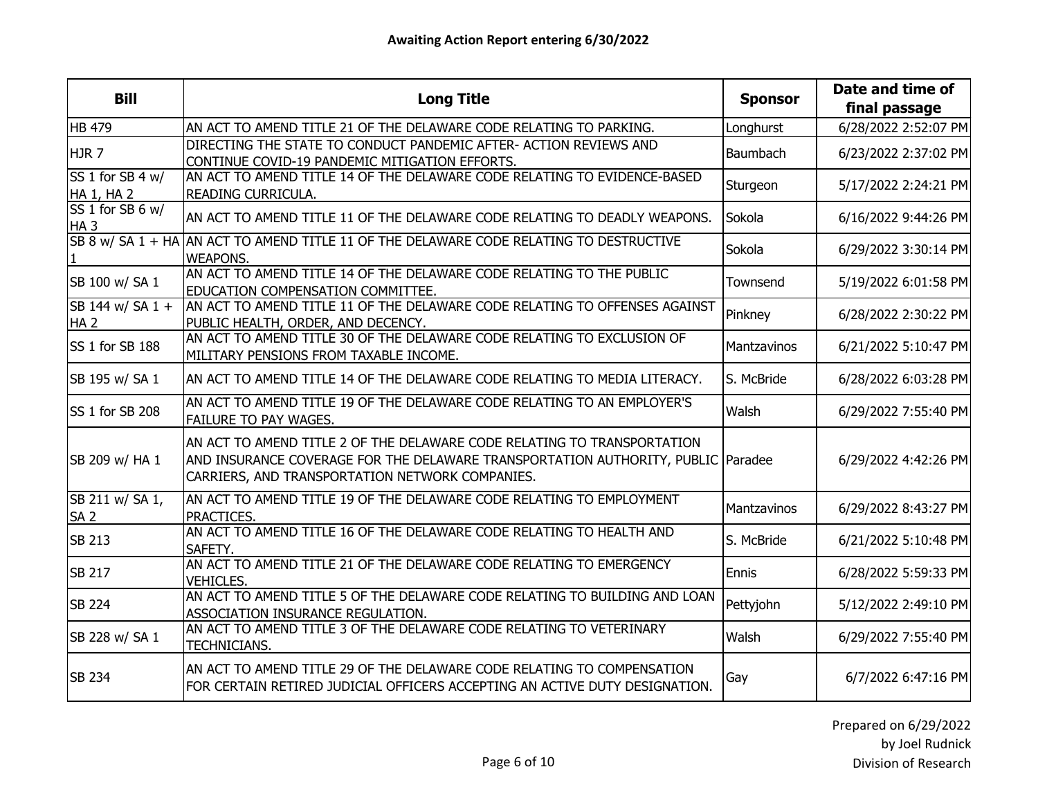| <b>Bill</b>                         | <b>Long Title</b>                                                                                                                                                                                              | <b>Sponsor</b> | Date and time of<br>final passage |
|-------------------------------------|----------------------------------------------------------------------------------------------------------------------------------------------------------------------------------------------------------------|----------------|-----------------------------------|
| <b>HB 479</b>                       | AN ACT TO AMEND TITLE 21 OF THE DELAWARE CODE RELATING TO PARKING.                                                                                                                                             | Longhurst      | 6/28/2022 2:52:07 PM              |
| <b>HJR7</b>                         | DIRECTING THE STATE TO CONDUCT PANDEMIC AFTER- ACTION REVIEWS AND<br>CONTINUE COVID-19 PANDEMIC MITIGATION EFFORTS.                                                                                            | Baumbach       | 6/23/2022 2:37:02 PM              |
| SS 1 for SB 4 w/<br>HA 1, HA 2      | AN ACT TO AMEND TITLE 14 OF THE DELAWARE CODE RELATING TO EVIDENCE-BASED<br>READING CURRICULA.                                                                                                                 | Sturgeon       | 5/17/2022 2:24:21 PM              |
| SS 1 for SB 6 w/<br>HA <sub>3</sub> | AN ACT TO AMEND TITLE 11 OF THE DELAWARE CODE RELATING TO DEADLY WEAPONS.                                                                                                                                      | Sokola         | 6/16/2022 9:44:26 PM              |
|                                     | SB 8 w/ SA 1 + HA AN ACT TO AMEND TITLE 11 OF THE DELAWARE CODE RELATING TO DESTRUCTIVE<br><b>WEAPONS.</b>                                                                                                     | Sokola         | 6/29/2022 3:30:14 PM              |
| SB 100 w/ SA 1                      | AN ACT TO AMEND TITLE 14 OF THE DELAWARE CODE RELATING TO THE PUBLIC<br><b>EDUCATION COMPENSATION COMMITTEE.</b>                                                                                               | Townsend       | 5/19/2022 6:01:58 PM              |
| SB 144 w/ SA 1 +<br>HA <sub>2</sub> | AN ACT TO AMEND TITLE 11 OF THE DELAWARE CODE RELATING TO OFFENSES AGAINST<br>PUBLIC HEALTH, ORDER, AND DECENCY.                                                                                               | Pinkney        | 6/28/2022 2:30:22 PM              |
| SS 1 for SB 188                     | AN ACT TO AMEND TITLE 30 OF THE DELAWARE CODE RELATING TO EXCLUSION OF<br>MILITARY PENSIONS FROM TAXABLE INCOME.                                                                                               | Mantzavinos    | 6/21/2022 5:10:47 PM              |
| SB 195 w/ SA 1                      | AN ACT TO AMEND TITLE 14 OF THE DELAWARE CODE RELATING TO MEDIA LITERACY.                                                                                                                                      | S. McBride     | 6/28/2022 6:03:28 PM              |
| SS 1 for SB 208                     | AN ACT TO AMEND TITLE 19 OF THE DELAWARE CODE RELATING TO AN EMPLOYER'S<br><b>FAILURE TO PAY WAGES.</b>                                                                                                        | Walsh          | 6/29/2022 7:55:40 PM              |
| SB 209 w/ HA 1                      | AN ACT TO AMEND TITLE 2 OF THE DELAWARE CODE RELATING TO TRANSPORTATION<br>AND INSURANCE COVERAGE FOR THE DELAWARE TRANSPORTATION AUTHORITY, PUBLIC Paradee<br>CARRIERS, AND TRANSPORTATION NETWORK COMPANIES. |                | 6/29/2022 4:42:26 PM              |
| SB 211 w/ SA 1,<br><b>SA 2</b>      | AN ACT TO AMEND TITLE 19 OF THE DELAWARE CODE RELATING TO EMPLOYMENT<br>PRACTICES.                                                                                                                             | Mantzavinos    | 6/29/2022 8:43:27 PM              |
| <b>SB 213</b>                       | AN ACT TO AMEND TITLE 16 OF THE DELAWARE CODE RELATING TO HEALTH AND<br>SAFETY.                                                                                                                                | S. McBride     | 6/21/2022 5:10:48 PM              |
| <b>SB 217</b>                       | AN ACT TO AMEND TITLE 21 OF THE DELAWARE CODE RELATING TO EMERGENCY<br><b>VEHICLES.</b>                                                                                                                        | Ennis          | 6/28/2022 5:59:33 PM              |
| <b>SB 224</b>                       | AN ACT TO AMEND TITLE 5 OF THE DELAWARE CODE RELATING TO BUILDING AND LOAN<br>ASSOCIATION INSURANCE REGULATION.                                                                                                | Pettyjohn      | 5/12/2022 2:49:10 PM              |
| SB 228 w/ SA 1                      | AN ACT TO AMEND TITLE 3 OF THE DELAWARE CODE RELATING TO VETERINARY<br><b>TECHNICIANS.</b>                                                                                                                     | Walsh          | 6/29/2022 7:55:40 PM              |
| <b>SB 234</b>                       | AN ACT TO AMEND TITLE 29 OF THE DELAWARE CODE RELATING TO COMPENSATION<br>FOR CERTAIN RETIRED JUDICIAL OFFICERS ACCEPTING AN ACTIVE DUTY DESIGNATION.                                                          | Gay            | 6/7/2022 6:47:16 PM               |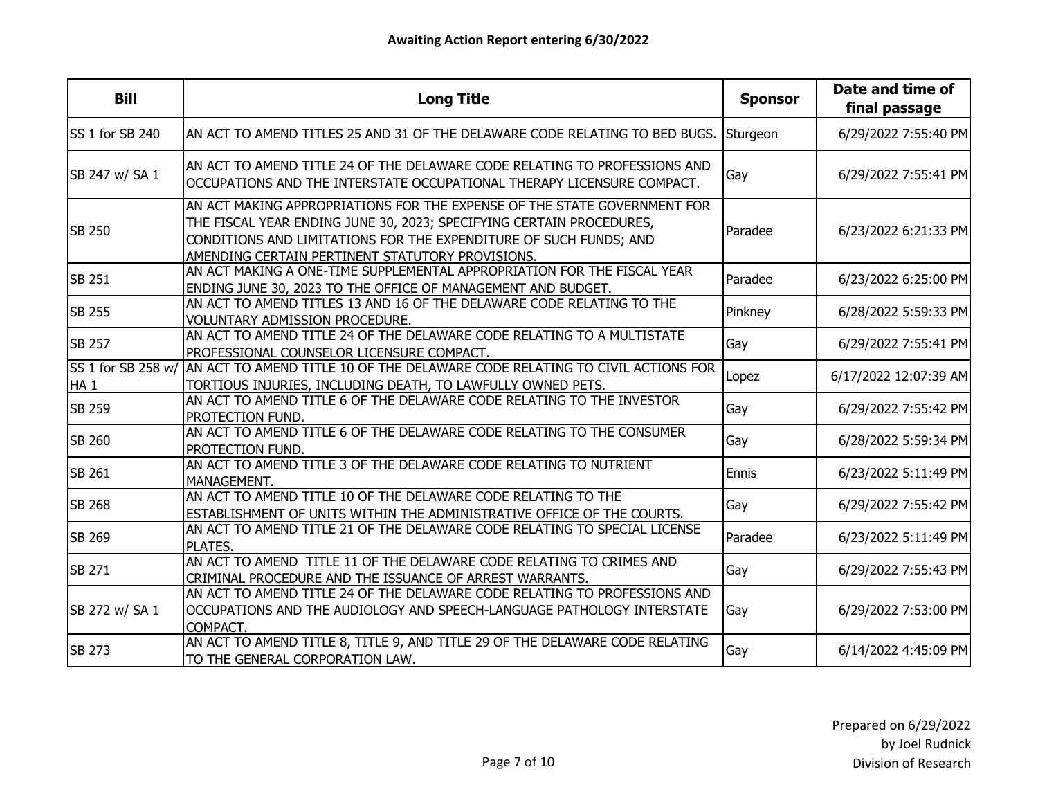| <b>Bill</b>     | <b>Long Title</b>                                                                                                                                                                                                                                                         | <b>Sponsor</b> | Date and time of<br>final passage |
|-----------------|---------------------------------------------------------------------------------------------------------------------------------------------------------------------------------------------------------------------------------------------------------------------------|----------------|-----------------------------------|
| SS 1 for SB 240 | AN ACT TO AMEND TITLES 25 AND 31 OF THE DELAWARE CODE RELATING TO BED BUGS.                                                                                                                                                                                               | Sturgeon       | 6/29/2022 7:55:40 PM              |
| SB 247 w/ SA 1  | AN ACT TO AMEND TITLE 24 OF THE DELAWARE CODE RELATING TO PROFESSIONS AND<br>OCCUPATIONS AND THE INTERSTATE OCCUPATIONAL THERAPY LICENSURE COMPACT.                                                                                                                       | Gay            | 6/29/2022 7:55:41 PM              |
| <b>SB 250</b>   | AN ACT MAKING APPROPRIATIONS FOR THE EXPENSE OF THE STATE GOVERNMENT FOR<br>THE FISCAL YEAR ENDING JUNE 30, 2023; SPECIFYING CERTAIN PROCEDURES,<br>CONDITIONS AND LIMITATIONS FOR THE EXPENDITURE OF SUCH FUNDS; AND<br>AMENDING CERTAIN PERTINENT STATUTORY PROVISIONS. | Paradee        | 6/23/2022 6:21:33 PM              |
| <b>SB 251</b>   | AN ACT MAKING A ONE-TIME SUPPLEMENTAL APPROPRIATION FOR THE FISCAL YEAR<br>ENDING JUNE 30, 2023 TO THE OFFICE OF MANAGEMENT AND BUDGET.                                                                                                                                   | Paradee        | 6/23/2022 6:25:00 PM              |
| <b>SB 255</b>   | AN ACT TO AMEND TITLES 13 AND 16 OF THE DELAWARE CODE RELATING TO THE<br>VOLUNTARY ADMISSION PROCEDURE.                                                                                                                                                                   | Pinkney        | 6/28/2022 5:59:33 PM              |
| <b>SB 257</b>   | AN ACT TO AMEND TITLE 24 OF THE DELAWARE CODE RELATING TO A MULTISTATE<br>PROFESSIONAL COUNSELOR LICENSURE COMPACT.                                                                                                                                                       | Gay            | 6/29/2022 7:55:41 PM              |
| HA <sub>1</sub> | SS 1 for SB 258 w/ AN ACT TO AMEND TITLE 10 OF THE DELAWARE CODE RELATING TO CIVIL ACTIONS FOR<br>TORTIOUS INJURIES, INCLUDING DEATH, TO LAWFULLY OWNED PETS.                                                                                                             | Lopez          | 6/17/2022 12:07:39 AM             |
| <b>SB 259</b>   | AN ACT TO AMEND TITLE 6 OF THE DELAWARE CODE RELATING TO THE INVESTOR<br>PROTECTION FUND.                                                                                                                                                                                 | Gay            | 6/29/2022 7:55:42 PM              |
| <b>SB 260</b>   | AN ACT TO AMEND TITLE 6 OF THE DELAWARE CODE RELATING TO THE CONSUMER<br>PROTECTION FUND.                                                                                                                                                                                 | Gay            | 6/28/2022 5:59:34 PM              |
| <b>SB 261</b>   | AN ACT TO AMEND TITLE 3 OF THE DELAWARE CODE RELATING TO NUTRIENT<br>MANAGEMENT.                                                                                                                                                                                          | Ennis          | 6/23/2022 5:11:49 PM              |
| <b>SB 268</b>   | AN ACT TO AMEND TITLE 10 OF THE DELAWARE CODE RELATING TO THE<br>ESTABLISHMENT OF UNITS WITHIN THE ADMINISTRATIVE OFFICE OF THE COURTS.                                                                                                                                   | Gay            | 6/29/2022 7:55:42 PM              |
| <b>SB 269</b>   | AN ACT TO AMEND TITLE 21 OF THE DELAWARE CODE RELATING TO SPECIAL LICENSE<br><b>PLATES.</b>                                                                                                                                                                               | Paradee        | 6/23/2022 5:11:49 PM              |
| <b>SB 271</b>   | AN ACT TO AMEND TITLE 11 OF THE DELAWARE CODE RELATING TO CRIMES AND<br>CRIMINAL PROCEDURE AND THE ISSUANCE OF ARREST WARRANTS.                                                                                                                                           | Gay            | 6/29/2022 7:55:43 PM              |
| SB 272 w/ SA 1  | AN ACT TO AMEND TITLE 24 OF THE DELAWARE CODE RELATING TO PROFESSIONS AND<br>OCCUPATIONS AND THE AUDIOLOGY AND SPEECH-LANGUAGE PATHOLOGY INTERSTATE<br>COMPACT.                                                                                                           | Gay            | 6/29/2022 7:53:00 PM              |
| <b>SB 273</b>   | AN ACT TO AMEND TITLE 8, TITLE 9, AND TITLE 29 OF THE DELAWARE CODE RELATING<br>TO THE GENERAL CORPORATION LAW.                                                                                                                                                           | Gay            | 6/14/2022 4:45:09 PM              |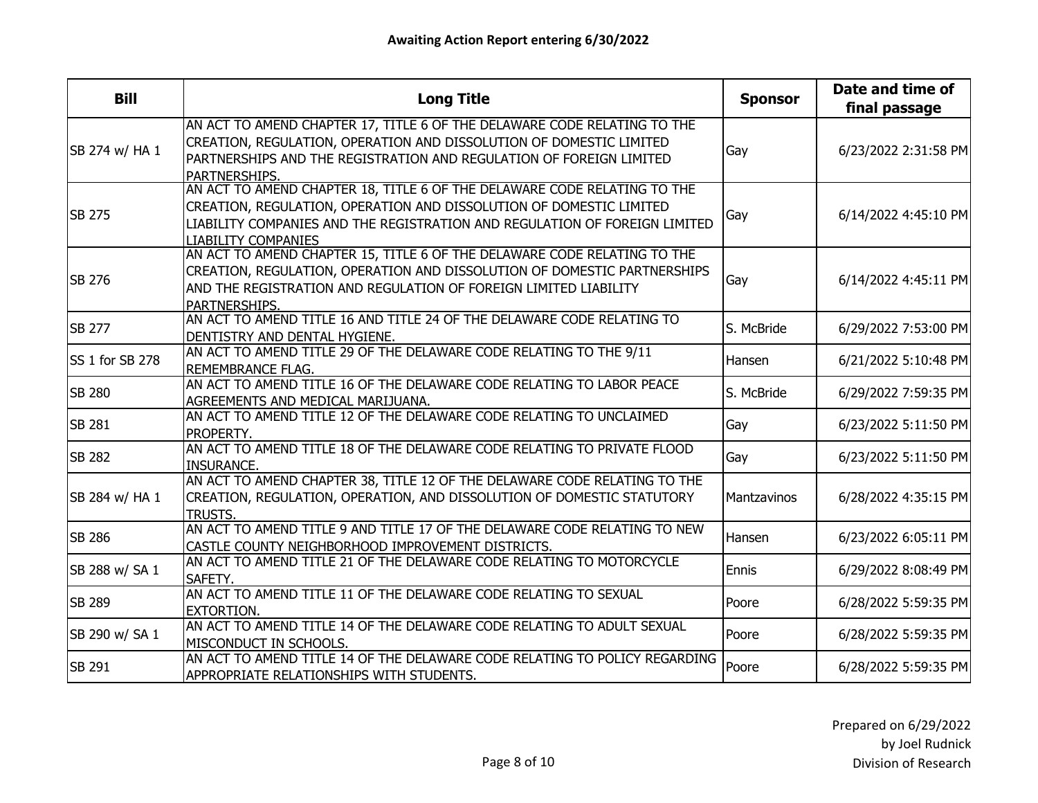| <b>Bill</b>     | <b>Long Title</b>                                                                                                                                                                                                                                           | <b>Sponsor</b> | Date and time of<br>final passage |
|-----------------|-------------------------------------------------------------------------------------------------------------------------------------------------------------------------------------------------------------------------------------------------------------|----------------|-----------------------------------|
| SB 274 w/ HA 1  | AN ACT TO AMEND CHAPTER 17, TITLE 6 OF THE DELAWARE CODE RELATING TO THE<br>CREATION, REGULATION, OPERATION AND DISSOLUTION OF DOMESTIC LIMITED<br>PARTNERSHIPS AND THE REGISTRATION AND REGULATION OF FOREIGN LIMITED<br>PARTNERSHIPS.                     | Gay            | 6/23/2022 2:31:58 PM              |
| <b>SB 275</b>   | AN ACT TO AMEND CHAPTER 18, TITLE 6 OF THE DELAWARE CODE RELATING TO THE<br>CREATION, REGULATION, OPERATION AND DISSOLUTION OF DOMESTIC LIMITED<br>LIABILITY COMPANIES AND THE REGISTRATION AND REGULATION OF FOREIGN LIMITED<br><b>LIABILITY COMPANIES</b> | Gay            | 6/14/2022 4:45:10 PM              |
| <b>SB 276</b>   | AN ACT TO AMEND CHAPTER 15, TITLE 6 OF THE DELAWARE CODE RELATING TO THE<br>CREATION, REGULATION, OPERATION AND DISSOLUTION OF DOMESTIC PARTNERSHIPS<br>AND THE REGISTRATION AND REGULATION OF FOREIGN LIMITED LIABILITY<br>PARTNERSHIPS.                   | Gay            | 6/14/2022 4:45:11 PM              |
| <b>SB 277</b>   | AN ACT TO AMEND TITLE 16 AND TITLE 24 OF THE DELAWARE CODE RELATING TO<br>DENTISTRY AND DENTAL HYGIENE.                                                                                                                                                     | S. McBride     | 6/29/2022 7:53:00 PM              |
| SS 1 for SB 278 | AN ACT TO AMEND TITLE 29 OF THE DELAWARE CODE RELATING TO THE 9/11<br><b>REMEMBRANCE FLAG.</b>                                                                                                                                                              | Hansen         | 6/21/2022 5:10:48 PM              |
| <b>SB 280</b>   | AN ACT TO AMEND TITLE 16 OF THE DELAWARE CODE RELATING TO LABOR PEACE<br>AGREEMENTS AND MEDICAL MARIJUANA.                                                                                                                                                  | S. McBride     | 6/29/2022 7:59:35 PM              |
| <b>SB 281</b>   | AN ACT TO AMEND TITLE 12 OF THE DELAWARE CODE RELATING TO UNCLAIMED<br>PROPERTY.                                                                                                                                                                            | Gay            | 6/23/2022 5:11:50 PM              |
| <b>SB 282</b>   | AN ACT TO AMEND TITLE 18 OF THE DELAWARE CODE RELATING TO PRIVATE FLOOD<br><b>INSURANCE.</b>                                                                                                                                                                | Gay            | 6/23/2022 5:11:50 PM              |
| SB 284 w/ HA 1  | AN ACT TO AMEND CHAPTER 38, TITLE 12 OF THE DELAWARE CODE RELATING TO THE<br>CREATION, REGULATION, OPERATION, AND DISSOLUTION OF DOMESTIC STATUTORY<br><b>TRUSTS.</b>                                                                                       | Mantzavinos    | 6/28/2022 4:35:15 PM              |
| <b>SB 286</b>   | AN ACT TO AMEND TITLE 9 AND TITLE 17 OF THE DELAWARE CODE RELATING TO NEW<br>CASTLE COUNTY NEIGHBORHOOD IMPROVEMENT DISTRICTS.                                                                                                                              | Hansen         | 6/23/2022 6:05:11 PM              |
| SB 288 w/ SA 1  | AN ACT TO AMEND TITLE 21 OF THE DELAWARE CODE RELATING TO MOTORCYCLE<br>SAFETY.                                                                                                                                                                             | Ennis          | 6/29/2022 8:08:49 PM              |
| <b>ISB 289</b>  | AN ACT TO AMEND TITLE 11 OF THE DELAWARE CODE RELATING TO SEXUAL<br><b>EXTORTION.</b>                                                                                                                                                                       | Poore          | 6/28/2022 5:59:35 PM              |
| SB 290 w/ SA 1  | AN ACT TO AMEND TITLE 14 OF THE DELAWARE CODE RELATING TO ADULT SEXUAL<br>MISCONDUCT IN SCHOOLS.                                                                                                                                                            | Poore          | 6/28/2022 5:59:35 PM              |
| <b>SB 291</b>   | AN ACT TO AMEND TITLE 14 OF THE DELAWARE CODE RELATING TO POLICY REGARDING<br>APPROPRIATE RELATIONSHIPS WITH STUDENTS.                                                                                                                                      | Poore          | 6/28/2022 5:59:35 PM              |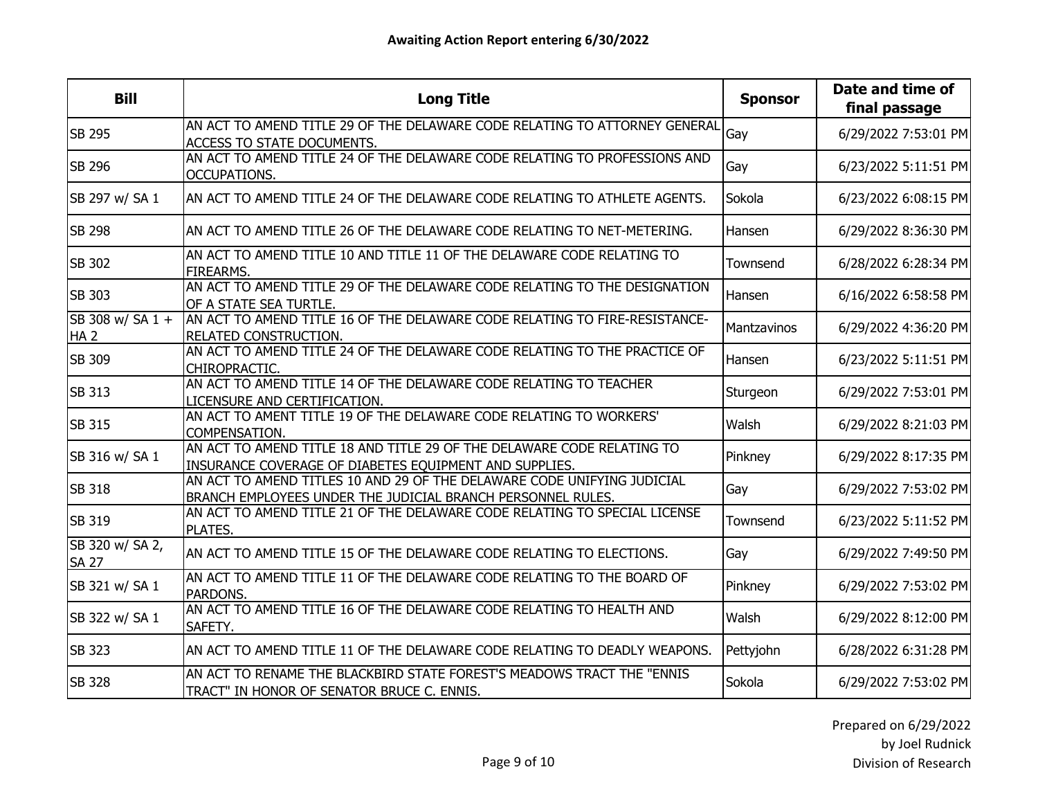| <b>Bill</b>                         | <b>Long Title</b>                                                                                                                      | <b>Sponsor</b>     | Date and time of<br>final passage |
|-------------------------------------|----------------------------------------------------------------------------------------------------------------------------------------|--------------------|-----------------------------------|
| <b>SB 295</b>                       | AN ACT TO AMEND TITLE 29 OF THE DELAWARE CODE RELATING TO ATTORNEY GENERAL<br><b>ACCESS TO STATE DOCUMENTS.</b>                        | Gay                | 6/29/2022 7:53:01 PM              |
| <b>SB 296</b>                       | AN ACT TO AMEND TITLE 24 OF THE DELAWARE CODE RELATING TO PROFESSIONS AND<br>OCCUPATIONS.                                              | Gay                | 6/23/2022 5:11:51 PM              |
| SB 297 w/ SA 1                      | AN ACT TO AMEND TITLE 24 OF THE DELAWARE CODE RELATING TO ATHLETE AGENTS.                                                              | Sokola             | 6/23/2022 6:08:15 PM              |
| <b>SB 298</b>                       | AN ACT TO AMEND TITLE 26 OF THE DELAWARE CODE RELATING TO NET-METERING.                                                                | Hansen             | 6/29/2022 8:36:30 PM              |
| <b>SB 302</b>                       | AN ACT TO AMEND TITLE 10 AND TITLE 11 OF THE DELAWARE CODE RELATING TO<br>FIREARMS.                                                    | Townsend           | 6/28/2022 6:28:34 PM              |
| <b>SB 303</b>                       | AN ACT TO AMEND TITLE 29 OF THE DELAWARE CODE RELATING TO THE DESIGNATION<br>OF A STATE SEA TURTLE.                                    | Hansen             | 6/16/2022 6:58:58 PM              |
| SB 308 w/ SA 1 +<br>HA <sub>2</sub> | AN ACT TO AMEND TITLE 16 OF THE DELAWARE CODE RELATING TO FIRE-RESISTANCE-<br>RELATED CONSTRUCTION.                                    | <b>Mantzavinos</b> | 6/29/2022 4:36:20 PM              |
| <b>SB 309</b>                       | AN ACT TO AMEND TITLE 24 OF THE DELAWARE CODE RELATING TO THE PRACTICE OF<br>CHIROPRACTIC.                                             | Hansen             | 6/23/2022 5:11:51 PM              |
| <b>SB 313</b>                       | AN ACT TO AMEND TITLE 14 OF THE DELAWARE CODE RELATING TO TEACHER<br>LICENSURE AND CERTIFICATION.                                      | Sturgeon           | 6/29/2022 7:53:01 PM              |
| <b>SB 315</b>                       | AN ACT TO AMENT TITLE 19 OF THE DELAWARE CODE RELATING TO WORKERS'<br><b>COMPENSATION.</b>                                             | Walsh              | 6/29/2022 8:21:03 PM              |
| SB 316 w/ SA 1                      | AN ACT TO AMEND TITLE 18 AND TITLE 29 OF THE DELAWARE CODE RELATING TO<br>INSURANCE COVERAGE OF DIABETES EQUIPMENT AND SUPPLIES.       | Pinkney            | 6/29/2022 8:17:35 PM              |
| <b>SB 318</b>                       | AN ACT TO AMEND TITLES 10 AND 29 OF THE DELAWARE CODE UNIFYING JUDICIAL<br>BRANCH EMPLOYEES UNDER THE JUDICIAL BRANCH PERSONNEL RULES. | Gay                | 6/29/2022 7:53:02 PM              |
| <b>SB 319</b>                       | AN ACT TO AMEND TITLE 21 OF THE DELAWARE CODE RELATING TO SPECIAL LICENSE<br>PLATES.                                                   | Townsend           | 6/23/2022 5:11:52 PM              |
| SB 320 w/ SA 2,<br><b>SA 27</b>     | AN ACT TO AMEND TITLE 15 OF THE DELAWARE CODE RELATING TO ELECTIONS.                                                                   | Gay                | 6/29/2022 7:49:50 PM              |
| SB 321 w/ SA 1                      | AN ACT TO AMEND TITLE 11 OF THE DELAWARE CODE RELATING TO THE BOARD OF<br>PARDONS.                                                     | Pinkney            | 6/29/2022 7:53:02 PM              |
| SB 322 w/ SA 1                      | AN ACT TO AMEND TITLE 16 OF THE DELAWARE CODE RELATING TO HEALTH AND<br>SAFETY.                                                        | Walsh              | 6/29/2022 8:12:00 PM              |
| <b>SB 323</b>                       | AN ACT TO AMEND TITLE 11 OF THE DELAWARE CODE RELATING TO DEADLY WEAPONS.                                                              | Pettyjohn          | 6/28/2022 6:31:28 PM              |
| <b>SB 328</b>                       | AN ACT TO RENAME THE BLACKBIRD STATE FOREST'S MEADOWS TRACT THE "ENNIS<br>TRACT" IN HONOR OF SENATOR BRUCE C. ENNIS.                   | Sokola             | 6/29/2022 7:53:02 PM              |